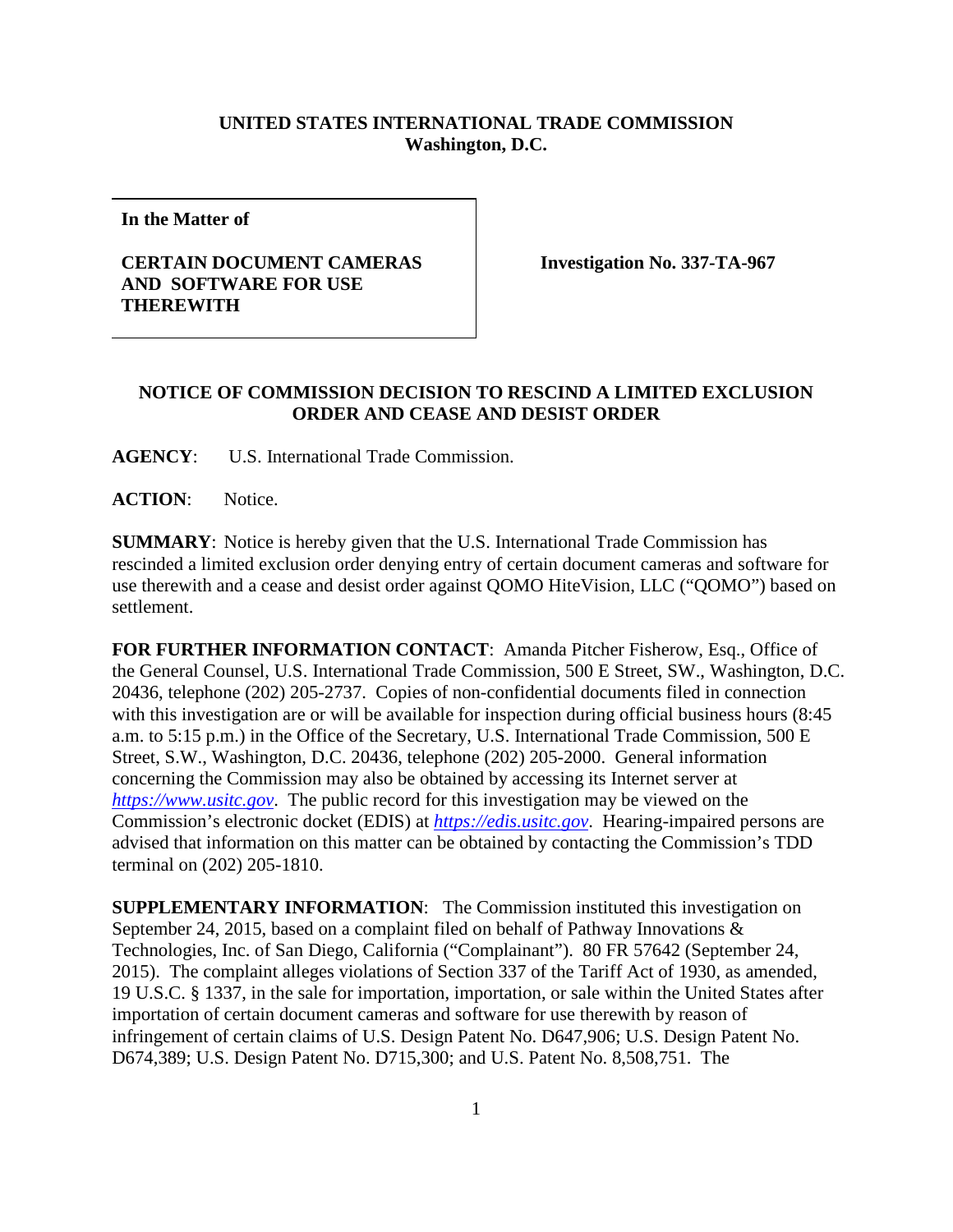## **UNITED STATES INTERNATIONAL TRADE COMMISSION Washington, D.C.**

**In the Matter of**

## **CERTAIN DOCUMENT CAMERAS AND SOFTWARE FOR USE THEREWITH**

**Investigation No. 337-TA-967**

## **NOTICE OF COMMISSION DECISION TO RESCIND A LIMITED EXCLUSION ORDER AND CEASE AND DESIST ORDER**

**AGENCY**: U.S. International Trade Commission.

**ACTION**: Notice.

**SUMMARY**: Notice is hereby given that the U.S. International Trade Commission has rescinded a limited exclusion order denying entry of certain document cameras and software for use therewith and a cease and desist order against QOMO HiteVision, LLC ("QOMO") based on settlement.

**FOR FURTHER INFORMATION CONTACT**: Amanda Pitcher Fisherow, Esq., Office of the General Counsel, U.S. International Trade Commission, 500 E Street, SW., Washington, D.C. 20436, telephone (202) 205-2737. Copies of non-confidential documents filed in connection with this investigation are or will be available for inspection during official business hours (8:45 a.m. to 5:15 p.m.) in the Office of the Secretary, U.S. International Trade Commission, 500 E Street, S.W., Washington, D.C. 20436, telephone (202) 205-2000. General information concerning the Commission may also be obtained by accessing its Internet server at *[https://www.usitc.gov](https://www.usitc.gov/)*. The public record for this investigation may be viewed on the Commission's electronic docket (EDIS) at *[https://edis.usitc.gov](https://edis.usitc.gov/)*. Hearing-impaired persons are advised that information on this matter can be obtained by contacting the Commission's TDD terminal on (202) 205-1810.

**SUPPLEMENTARY INFORMATION**: The Commission instituted this investigation on September 24, 2015, based on a complaint filed on behalf of Pathway Innovations & Technologies, Inc. of San Diego, California ("Complainant"). 80 FR 57642 (September 24, 2015). The complaint alleges violations of Section 337 of the Tariff Act of 1930, as amended, 19 U.S.C. § 1337, in the sale for importation, importation, or sale within the United States after importation of certain document cameras and software for use therewith by reason of infringement of certain claims of U.S. Design Patent No. D647,906; U.S. Design Patent No. D674,389; U.S. Design Patent No. D715,300; and U.S. Patent No. 8,508,751. The